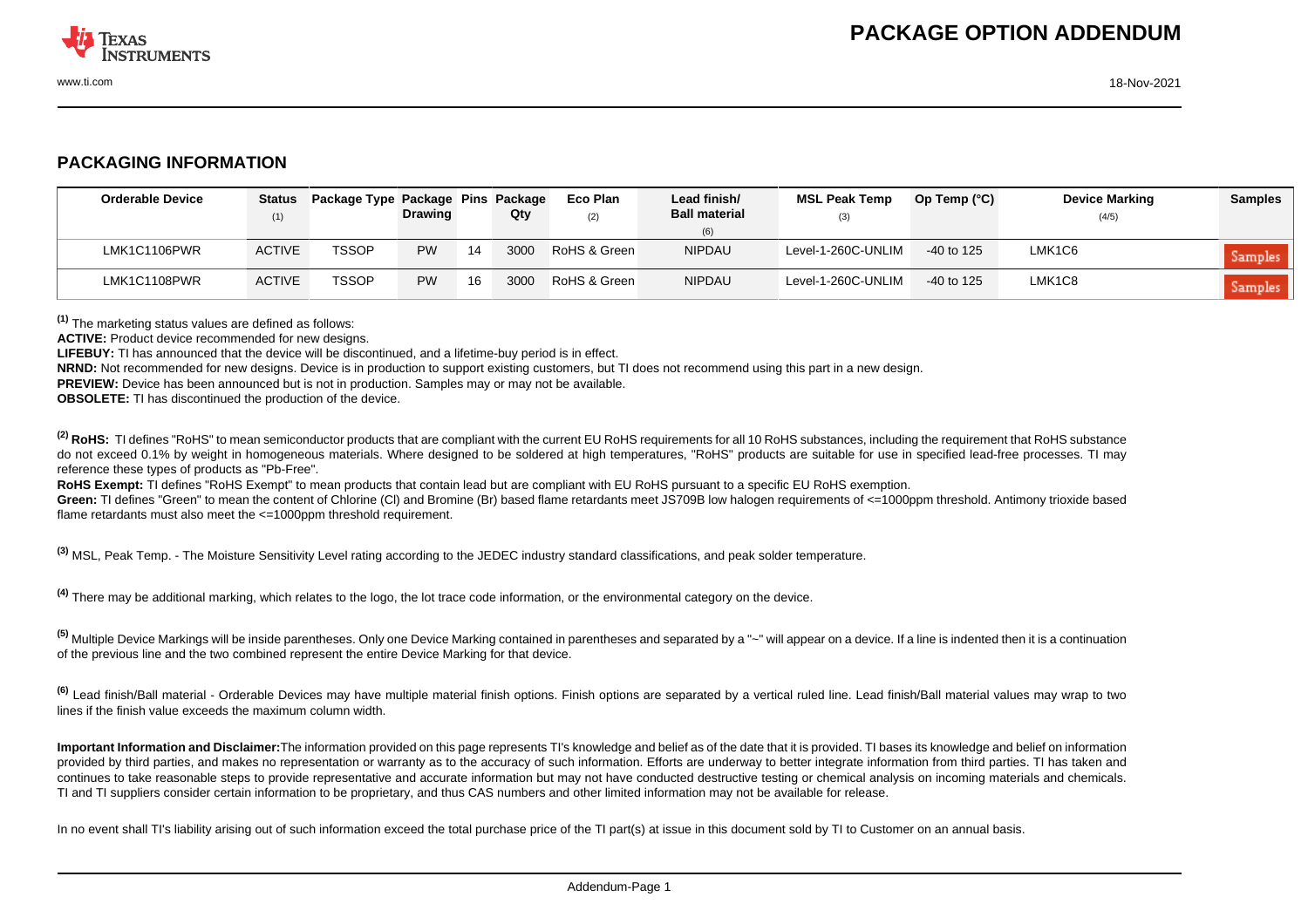

## **PACKAGING INFORMATION**

| <b>Orderable Device</b> | <b>Status</b><br>(1) | Package Type Package Pins Package | <b>Drawing</b> |    | Qty  | Eco Plan<br>(2) | Lead finish/<br><b>Ball material</b><br>(6) | <b>MSL Peak Temp</b><br>(3) | Op Temp $(^{\circ}C)$ | <b>Device Marking</b><br>(4/5) | <b>Samples</b> |
|-------------------------|----------------------|-----------------------------------|----------------|----|------|-----------------|---------------------------------------------|-----------------------------|-----------------------|--------------------------------|----------------|
| LMK1C1106PWR            | <b>ACTIVE</b>        | <b>TSSOP</b>                      | <b>PW</b>      | 14 | 3000 | RoHS & Green    | <b>NIPDAU</b>                               | Level-1-260C-UNLIM          | $-40$ to 125          | LMK1C6                         | Samples        |
| LMK1C1108PWR            | <b>ACTIVE</b>        | <b>TSSOP</b>                      | <b>PW</b>      | 16 | 3000 | RoHS & Green    | <b>NIPDAU</b>                               | Level-1-260C-UNLIM          | $-40$ to 125          | LMK1C8                         | Samples        |

**(1)** The marketing status values are defined as follows:

**ACTIVE:** Product device recommended for new designs.

**LIFEBUY:** TI has announced that the device will be discontinued, and a lifetime-buy period is in effect.

**NRND:** Not recommended for new designs. Device is in production to support existing customers, but TI does not recommend using this part in a new design.

**PREVIEW:** Device has been announced but is not in production. Samples may or may not be available.

**OBSOLETE:** TI has discontinued the production of the device.

<sup>(2)</sup> RoHS: TI defines "RoHS" to mean semiconductor products that are compliant with the current EU RoHS requirements for all 10 RoHS substances, including the requirement that RoHS substance do not exceed 0.1% by weight in homogeneous materials. Where designed to be soldered at high temperatures. "RoHS" products are suitable for use in specified lead-free processes. TI may reference these types of products as "Pb-Free".

**RoHS Exempt:** TI defines "RoHS Exempt" to mean products that contain lead but are compliant with EU RoHS pursuant to a specific EU RoHS exemption.

Green: TI defines "Green" to mean the content of Chlorine (CI) and Bromine (Br) based flame retardants meet JS709B low halogen requirements of <=1000ppm threshold. Antimony trioxide based flame retardants must also meet the <=1000ppm threshold requirement.

**(3)** MSL, Peak Temp. - The Moisture Sensitivity Level rating according to the JEDEC industry standard classifications, and peak solder temperature.

**(4)** There may be additional marking, which relates to the logo, the lot trace code information, or the environmental category on the device.

**(5)** Multiple Device Markings will be inside parentheses. Only one Device Marking contained in parentheses and separated by a "~" will appear on a device. If a line is indented then it is a continuation of the previous line and the two combined represent the entire Device Marking for that device.

**(6)** Lead finish/Ball material - Orderable Devices may have multiple material finish options. Finish options are separated by a vertical ruled line. Lead finish/Ball material values may wrap to two lines if the finish value exceeds the maximum column width.

**Important Information and Disclaimer:**The information provided on this page represents TI's knowledge and belief as of the date that it is provided. TI bases its knowledge and belief on information provided by third parties, and makes no representation or warranty as to the accuracy of such information. Efforts are underway to better integrate information from third parties. TI has taken and continues to take reasonable steps to provide representative and accurate information but may not have conducted destructive testing or chemical analysis on incoming materials and chemicals. TI and TI suppliers consider certain information to be proprietary, and thus CAS numbers and other limited information may not be available for release.

In no event shall TI's liability arising out of such information exceed the total purchase price of the TI part(s) at issue in this document sold by TI to Customer on an annual basis.